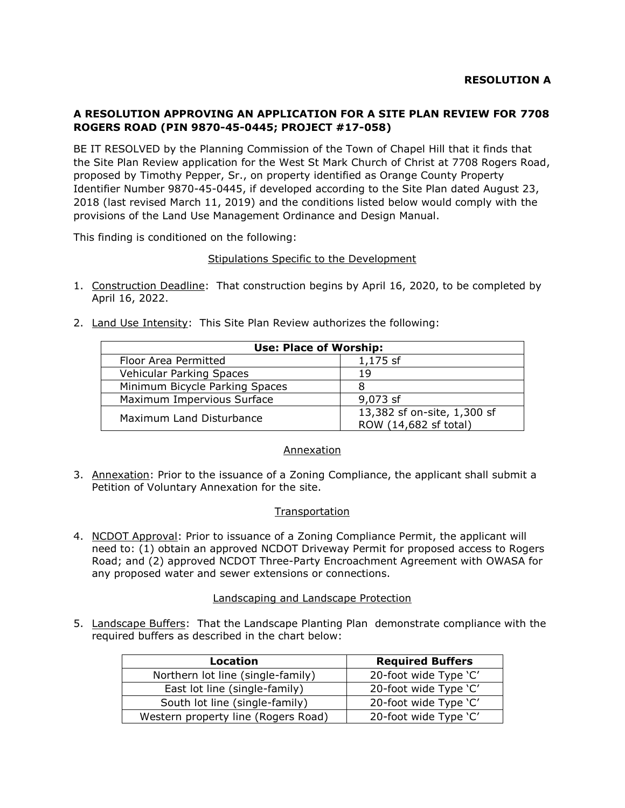# **A RESOLUTION APPROVING AN APPLICATION FOR A SITE PLAN REVIEW FOR 7708 ROGERS ROAD (PIN 9870-45-0445; PROJECT #17-058)**

BE IT RESOLVED by the Planning Commission of the Town of Chapel Hill that it finds that the Site Plan Review application for the West St Mark Church of Christ at 7708 Rogers Road, proposed by Timothy Pepper, Sr., on property identified as Orange County Property Identifier Number 9870-45-0445, if developed according to the Site Plan dated August 23, 2018 (last revised March 11, 2019) and the conditions listed below would comply with the provisions of the Land Use Management Ordinance and Design Manual.

This finding is conditioned on the following:

## Stipulations Specific to the Development

- 1. Construction Deadline: That construction begins by April 16, 2020, to be completed by April 16, 2022.
- 2. Land Use Intensity: This Site Plan Review authorizes the following:

| <b>Use: Place of Worship:</b>   |                                                      |
|---------------------------------|------------------------------------------------------|
| Floor Area Permitted            | 1,175 sf                                             |
| <b>Vehicular Parking Spaces</b> | 19                                                   |
| Minimum Bicycle Parking Spaces  |                                                      |
| Maximum Impervious Surface      | 9,073 sf                                             |
| Maximum Land Disturbance        | 13,382 sf on-site, 1,300 sf<br>ROW (14,682 sf total) |

#### Annexation

3. Annexation: Prior to the issuance of a Zoning Compliance, the applicant shall submit a Petition of Voluntary Annexation for the site.

#### **Transportation**

4. NCDOT Approval: Prior to issuance of a Zoning Compliance Permit, the applicant will need to: (1) obtain an approved NCDOT Driveway Permit for proposed access to Rogers Road; and (2) approved NCDOT Three-Party Encroachment Agreement with OWASA for any proposed water and sewer extensions or connections.

#### Landscaping and Landscape Protection

5. Landscape Buffers: That the Landscape Planting Plan demonstrate compliance with the required buffers as described in the chart below:

| Location                            | <b>Required Buffers</b> |
|-------------------------------------|-------------------------|
| Northern lot line (single-family)   | 20-foot wide Type 'C'   |
| East lot line (single-family)       | 20-foot wide Type 'C'   |
| South lot line (single-family)      | 20-foot wide Type 'C'   |
| Western property line (Rogers Road) | 20-foot wide Type 'C'   |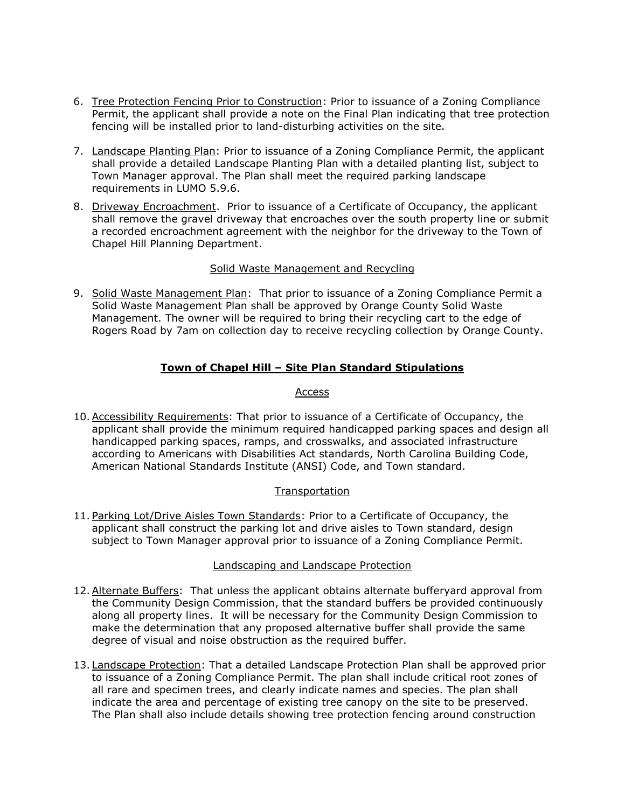- 6. Tree Protection Fencing Prior to Construction: Prior to issuance of a Zoning Compliance Permit, the applicant shall provide a note on the Final Plan indicating that tree protection fencing will be installed prior to land-disturbing activities on the site.
- 7. Landscape Planting Plan: Prior to issuance of a Zoning Compliance Permit, the applicant shall provide a detailed Landscape Planting Plan with a detailed planting list, subject to Town Manager approval. The Plan shall meet the required parking landscape requirements in LUMO 5.9.6.
- 8. Driveway Encroachment. Prior to issuance of a Certificate of Occupancy, the applicant shall remove the gravel driveway that encroaches over the south property line or submit a recorded encroachment agreement with the neighbor for the driveway to the Town of Chapel Hill Planning Department.

## Solid Waste Management and Recycling

9. Solid Waste Management Plan: That prior to issuance of a Zoning Compliance Permit a Solid Waste Management Plan shall be approved by Orange County Solid Waste Management. The owner will be required to bring their recycling cart to the edge of Rogers Road by 7am on collection day to receive recycling collection by Orange County.

# **Town of Chapel Hill – Site Plan Standard Stipulations**

#### Access

10.Accessibility Requirements: That prior to issuance of a Certificate of Occupancy, the applicant shall provide the minimum required handicapped parking spaces and design all handicapped parking spaces, ramps, and crosswalks, and associated infrastructure according to Americans with Disabilities Act standards, North Carolina Building Code, American National Standards Institute (ANSI) Code, and Town standard.

## **Transportation**

11. Parking Lot/Drive Aisles Town Standards: Prior to a Certificate of Occupancy, the applicant shall construct the parking lot and drive aisles to Town standard, design subject to Town Manager approval prior to issuance of a Zoning Compliance Permit.

#### Landscaping and Landscape Protection

- 12.Alternate Buffers: That unless the applicant obtains alternate bufferyard approval from the Community Design Commission, that the standard buffers be provided continuously along all property lines. It will be necessary for the Community Design Commission to make the determination that any proposed alternative buffer shall provide the same degree of visual and noise obstruction as the required buffer.
- 13. Landscape Protection: That a detailed Landscape Protection Plan shall be approved prior to issuance of a Zoning Compliance Permit. The plan shall include critical root zones of all rare and specimen trees, and clearly indicate names and species. The plan shall indicate the area and percentage of existing tree canopy on the site to be preserved. The Plan shall also include details showing tree protection fencing around construction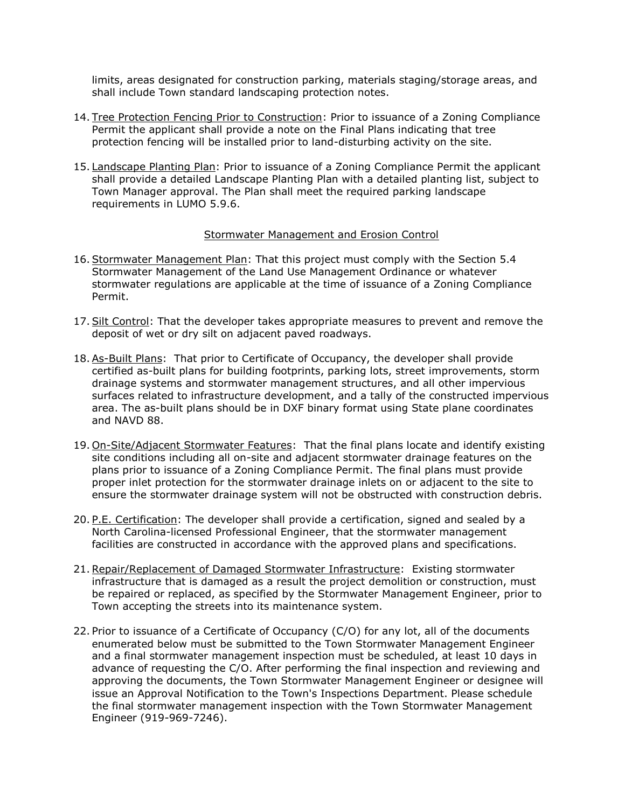limits, areas designated for construction parking, materials staging/storage areas, and shall include Town standard landscaping protection notes.

- 14. Tree Protection Fencing Prior to Construction: Prior to issuance of a Zoning Compliance Permit the applicant shall provide a note on the Final Plans indicating that tree protection fencing will be installed prior to land-disturbing activity on the site.
- 15. Landscape Planting Plan: Prior to issuance of a Zoning Compliance Permit the applicant shall provide a detailed Landscape Planting Plan with a detailed planting list, subject to Town Manager approval. The Plan shall meet the required parking landscape requirements in LUMO 5.9.6.

#### Stormwater Management and Erosion Control

- 16.Stormwater Management Plan: That this project must comply with the Section 5.4 Stormwater Management of the Land Use Management Ordinance or whatever stormwater regulations are applicable at the time of issuance of a Zoning Compliance Permit.
- 17.Silt Control: That the developer takes appropriate measures to prevent and remove the deposit of wet or dry silt on adjacent paved roadways.
- 18. As-Built Plans: That prior to Certificate of Occupancy, the developer shall provide certified as-built plans for building footprints, parking lots, street improvements, storm drainage systems and stormwater management structures, and all other impervious surfaces related to infrastructure development, and a tally of the constructed impervious area. The as-built plans should be in DXF binary format using State plane coordinates and NAVD 88.
- 19. On-Site/Adjacent Stormwater Features: That the final plans locate and identify existing site conditions including all on-site and adjacent stormwater drainage features on the plans prior to issuance of a Zoning Compliance Permit. The final plans must provide proper inlet protection for the stormwater drainage inlets on or adjacent to the site to ensure the stormwater drainage system will not be obstructed with construction debris.
- 20. P.E. Certification: The developer shall provide a certification, signed and sealed by a North Carolina-licensed Professional Engineer, that the stormwater management facilities are constructed in accordance with the approved plans and specifications.
- 21.Repair/Replacement of Damaged Stormwater Infrastructure: Existing stormwater infrastructure that is damaged as a result the project demolition or construction, must be repaired or replaced, as specified by the Stormwater Management Engineer, prior to Town accepting the streets into its maintenance system.
- 22. Prior to issuance of a Certificate of Occupancy (C/O) for any lot, all of the documents enumerated below must be submitted to the Town Stormwater Management Engineer and a final stormwater management inspection must be scheduled, at least 10 days in advance of requesting the C/O. After performing the final inspection and reviewing and approving the documents, the Town Stormwater Management Engineer or designee will issue an Approval Notification to the Town's Inspections Department. Please schedule the final stormwater management inspection with the Town Stormwater Management Engineer (919-969-7246).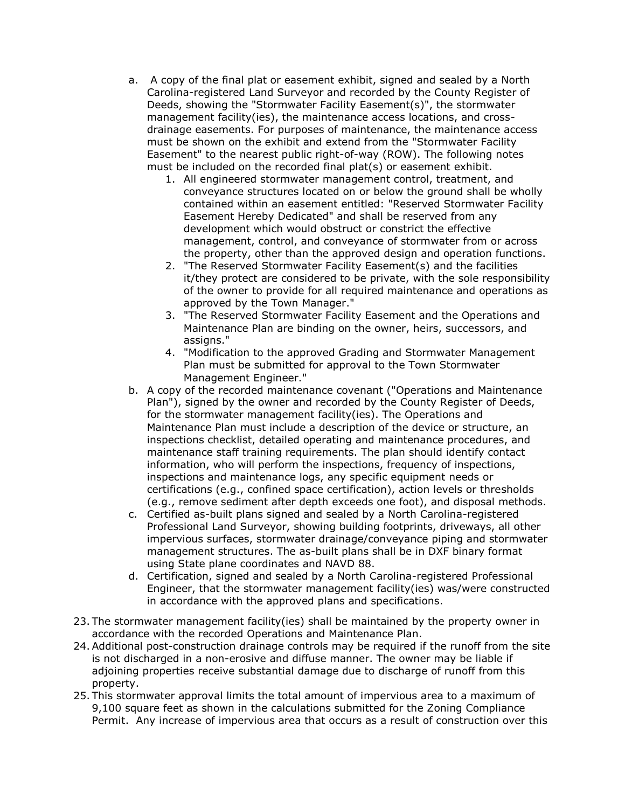- a. A copy of the final plat or easement exhibit, signed and sealed by a North Carolina-registered Land Surveyor and recorded by the County Register of Deeds, showing the "Stormwater Facility Easement(s)", the stormwater management facility(ies), the maintenance access locations, and crossdrainage easements. For purposes of maintenance, the maintenance access must be shown on the exhibit and extend from the "Stormwater Facility Easement" to the nearest public right-of-way (ROW). The following notes must be included on the recorded final plat(s) or easement exhibit.
	- 1. All engineered stormwater management control, treatment, and conveyance structures located on or below the ground shall be wholly contained within an easement entitled: "Reserved Stormwater Facility Easement Hereby Dedicated" and shall be reserved from any development which would obstruct or constrict the effective management, control, and conveyance of stormwater from or across the property, other than the approved design and operation functions.
	- 2. "The Reserved Stormwater Facility Easement(s) and the facilities it/they protect are considered to be private, with the sole responsibility of the owner to provide for all required maintenance and operations as approved by the Town Manager."
	- 3. "The Reserved Stormwater Facility Easement and the Operations and Maintenance Plan are binding on the owner, heirs, successors, and assigns."
	- 4. "Modification to the approved Grading and Stormwater Management Plan must be submitted for approval to the Town Stormwater Management Engineer."
- b. A copy of the recorded maintenance covenant ("Operations and Maintenance Plan"), signed by the owner and recorded by the County Register of Deeds, for the stormwater management facility(ies). The Operations and Maintenance Plan must include a description of the device or structure, an inspections checklist, detailed operating and maintenance procedures, and maintenance staff training requirements. The plan should identify contact information, who will perform the inspections, frequency of inspections, inspections and maintenance logs, any specific equipment needs or certifications (e.g., confined space certification), action levels or thresholds (e.g., remove sediment after depth exceeds one foot), and disposal methods.
- c. Certified as-built plans signed and sealed by a North Carolina-registered Professional Land Surveyor, showing building footprints, driveways, all other impervious surfaces, stormwater drainage/conveyance piping and stormwater management structures. The as-built plans shall be in DXF binary format using State plane coordinates and NAVD 88.
- d. Certification, signed and sealed by a North Carolina-registered Professional Engineer, that the stormwater management facility(ies) was/were constructed in accordance with the approved plans and specifications.
- 23. The stormwater management facility(ies) shall be maintained by the property owner in accordance with the recorded Operations and Maintenance Plan.
- 24.Additional post-construction drainage controls may be required if the runoff from the site is not discharged in a non-erosive and diffuse manner. The owner may be liable if adjoining properties receive substantial damage due to discharge of runoff from this property.
- 25. This stormwater approval limits the total amount of impervious area to a maximum of 9,100 square feet as shown in the calculations submitted for the Zoning Compliance Permit. Any increase of impervious area that occurs as a result of construction over this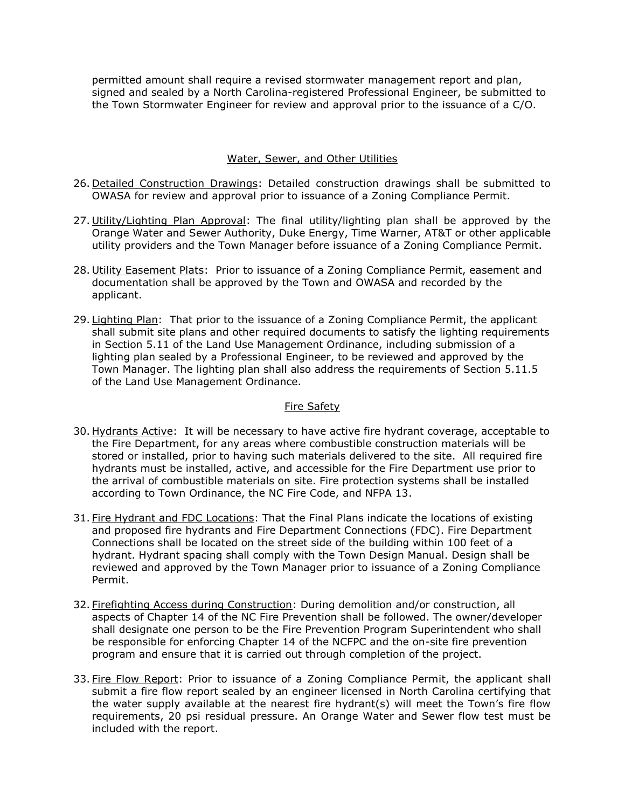permitted amount shall require a revised stormwater management report and plan, signed and sealed by a North Carolina-registered Professional Engineer, be submitted to the Town Stormwater Engineer for review and approval prior to the issuance of a C/O.

## Water, Sewer, and Other Utilities

- 26. Detailed Construction Drawings: Detailed construction drawings shall be submitted to OWASA for review and approval prior to issuance of a Zoning Compliance Permit.
- 27. Utility/Lighting Plan Approval: The final utility/lighting plan shall be approved by the Orange Water and Sewer Authority, Duke Energy, Time Warner, AT&T or other applicable utility providers and the Town Manager before issuance of a Zoning Compliance Permit.
- 28. Utility Easement Plats: Prior to issuance of a Zoning Compliance Permit, easement and documentation shall be approved by the Town and OWASA and recorded by the applicant.
- 29. Lighting Plan: That prior to the issuance of a Zoning Compliance Permit, the applicant shall submit site plans and other required documents to satisfy the lighting requirements in Section 5.11 of the Land Use Management Ordinance, including submission of a lighting plan sealed by a Professional Engineer, to be reviewed and approved by the Town Manager. The lighting plan shall also address the requirements of Section 5.11.5 of the Land Use Management Ordinance.

## Fire Safety

- 30. Hydrants Active: It will be necessary to have active fire hydrant coverage, acceptable to the Fire Department, for any areas where combustible construction materials will be stored or installed, prior to having such materials delivered to the site. All required fire hydrants must be installed, active, and accessible for the Fire Department use prior to the arrival of combustible materials on site. Fire protection systems shall be installed according to Town Ordinance, the NC Fire Code, and NFPA 13.
- 31. Fire Hydrant and FDC Locations: That the Final Plans indicate the locations of existing and proposed fire hydrants and Fire Department Connections (FDC). Fire Department Connections shall be located on the street side of the building within 100 feet of a hydrant. Hydrant spacing shall comply with the Town Design Manual. Design shall be reviewed and approved by the Town Manager prior to issuance of a Zoning Compliance Permit.
- 32. Firefighting Access during Construction: During demolition and/or construction, all aspects of Chapter 14 of the NC Fire Prevention shall be followed. The owner/developer shall designate one person to be the Fire Prevention Program Superintendent who shall be responsible for enforcing Chapter 14 of the NCFPC and the on-site fire prevention program and ensure that it is carried out through completion of the project.
- 33. Fire Flow Report: Prior to issuance of a Zoning Compliance Permit, the applicant shall submit a fire flow report sealed by an engineer licensed in North Carolina certifying that the water supply available at the nearest fire hydrant(s) will meet the Town's fire flow requirements, 20 psi residual pressure. An Orange Water and Sewer flow test must be included with the report.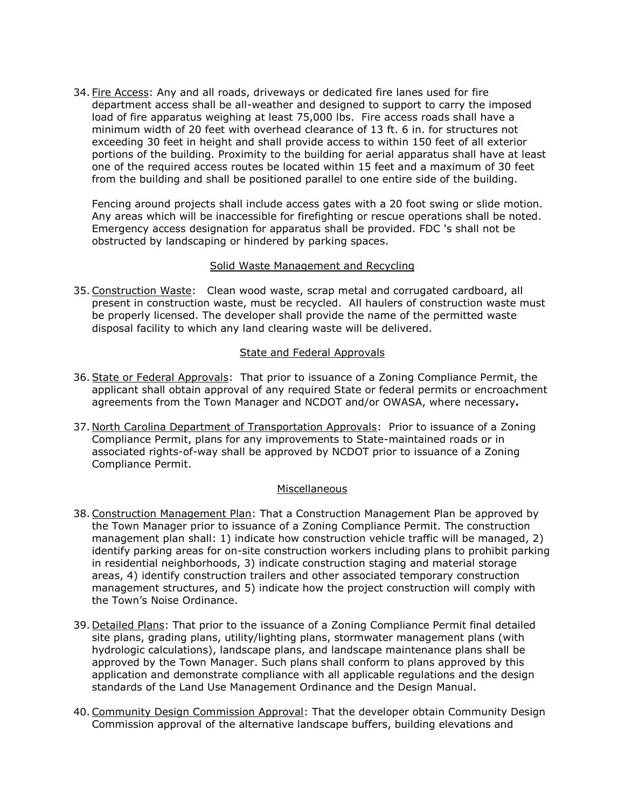34. Fire Access: Any and all roads, driveways or dedicated fire lanes used for fire department access shall be all-weather and designed to support to carry the imposed load of fire apparatus weighing at least 75,000 lbs. Fire access roads shall have a minimum width of 20 feet with overhead clearance of 13 ft. 6 in. for structures not exceeding 30 feet in height and shall provide access to within 150 feet of all exterior portions of the building. Proximity to the building for aerial apparatus shall have at least one of the required access routes be located within 15 feet and a maximum of 30 feet from the building and shall be positioned parallel to one entire side of the building.

Fencing around projects shall include access gates with a 20 foot swing or slide motion. Any areas which will be inaccessible for firefighting or rescue operations shall be noted. Emergency access designation for apparatus shall be provided. FDC 's shall not be obstructed by landscaping or hindered by parking spaces.

## Solid Waste Management and Recycling

35. Construction Waste: Clean wood waste, scrap metal and corrugated cardboard, all present in construction waste, must be recycled. All haulers of construction waste must be properly licensed. The developer shall provide the name of the permitted waste disposal facility to which any land clearing waste will be delivered.

## State and Federal Approvals

- 36.State or Federal Approvals: That prior to issuance of a Zoning Compliance Permit, the applicant shall obtain approval of any required State or federal permits or encroachment agreements from the Town Manager and NCDOT and/or OWASA, where necessary*.*
- 37. North Carolina Department of Transportation Approvals: Prior to issuance of a Zoning Compliance Permit, plans for any improvements to State-maintained roads or in associated rights-of-way shall be approved by NCDOT prior to issuance of a Zoning Compliance Permit.

## **Miscellaneous**

- 38.Construction Management Plan: That a Construction Management Plan be approved by the Town Manager prior to issuance of a Zoning Compliance Permit. The construction management plan shall: 1) indicate how construction vehicle traffic will be managed, 2) identify parking areas for on-site construction workers including plans to prohibit parking in residential neighborhoods, 3) indicate construction staging and material storage areas, 4) identify construction trailers and other associated temporary construction management structures, and 5) indicate how the project construction will comply with the Town's Noise Ordinance.
- 39. Detailed Plans: That prior to the issuance of a Zoning Compliance Permit final detailed site plans, grading plans, utility/lighting plans, stormwater management plans (with hydrologic calculations), landscape plans, and landscape maintenance plans shall be approved by the Town Manager. Such plans shall conform to plans approved by this application and demonstrate compliance with all applicable regulations and the design standards of the Land Use Management Ordinance and the Design Manual.
- 40. Community Design Commission Approval: That the developer obtain Community Design Commission approval of the alternative landscape buffers, building elevations and